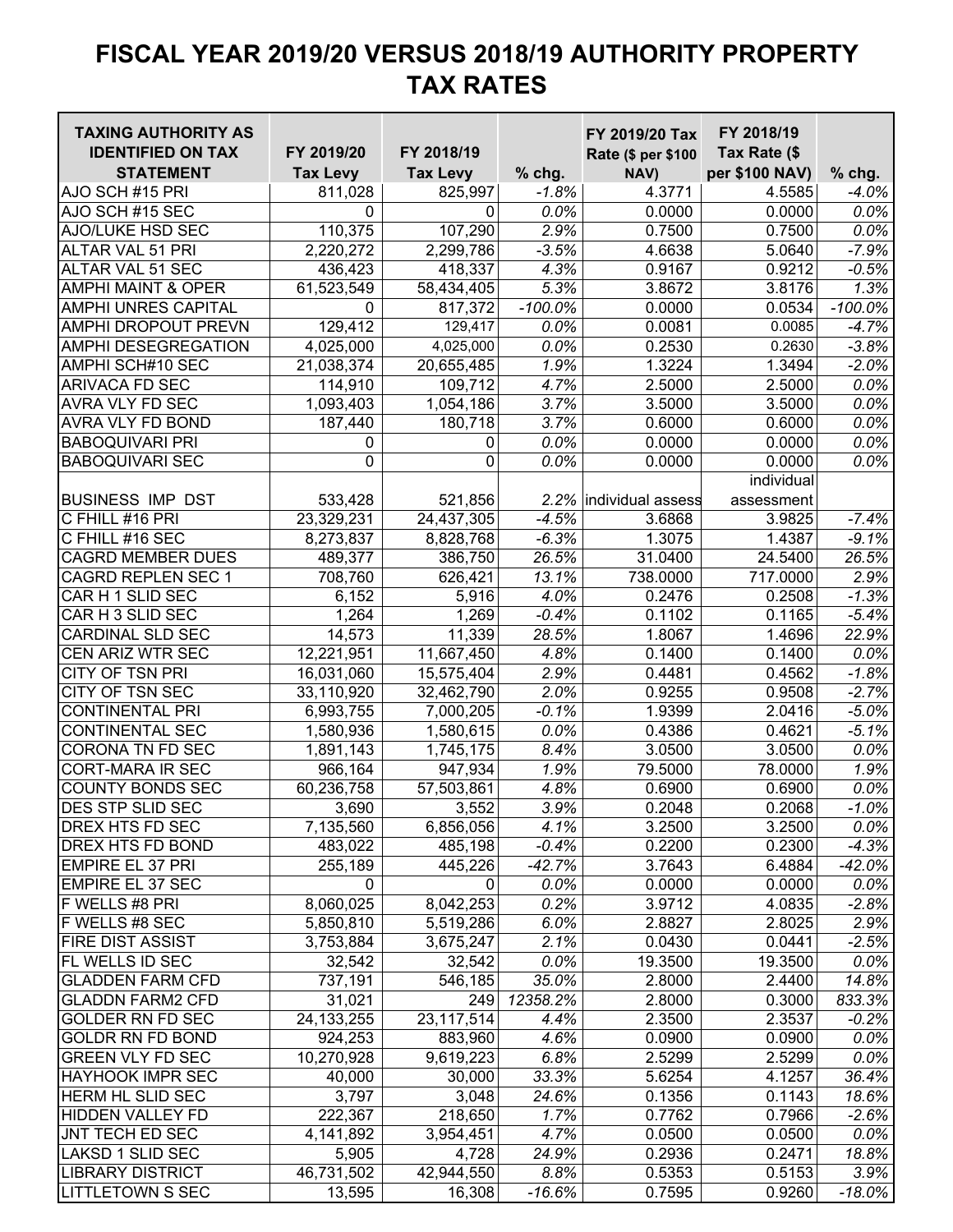| <b>TAXING AUTHORITY AS</b>    |                 |                 |           | FY 2019/20 Tax         | FY 2018/19          |            |
|-------------------------------|-----------------|-----------------|-----------|------------------------|---------------------|------------|
| <b>IDENTIFIED ON TAX</b>      | FY 2019/20      | FY 2018/19      |           | Rate (\$ per \$100     | Tax Rate (\$        |            |
| <b>STATEMENT</b>              | <b>Tax Levy</b> | <b>Tax Levy</b> | % chg.    | NAV)                   | per \$100 NAV)      | $%$ chg.   |
| AJO SCH #15 PRI               | 811,028         | 825,997         | $-1.8%$   | 4.3771                 | 4.5585              | -4.0%      |
| AJO SCH #15 SEC               | $\mathbf 0$     | 0               | 0.0%      | 0.0000                 | 0.0000              | $0.0\%$    |
| AJO/LUKE HSD SEC              | 110,375         | 107,290         | 2.9%      | 0.7500                 | $\overline{0.7500}$ | 0.0%       |
| ALTAR VAL 51 PRI              | 2,220,272       | 2,299,786       | $-3.5%$   | 4.6638                 | 5.0640              | $-7.9%$    |
| ALTAR VAL 51 SEC              | 436,423         | 418,337         | 4.3%      | 0.9167                 | 0.9212              | $-0.5%$    |
| <b>AMPHI MAINT &amp; OPER</b> | 61,523,549      | 58,434,405      | 5.3%      | 3.8672                 | 3.8176              | 1.3%       |
| <b>AMPHI UNRES CAPITAL</b>    | $\mathbf 0$     | 817,372         | $-100.0%$ | 0.0000                 | 0.0534              | $-100.0\%$ |
| <b>AMPHI DROPOUT PREVN</b>    | 129,412         | 129,417         | 0.0%      | 0.0081                 | 0.0085              | $-4.7%$    |
| AMPHI DESEGREGATION           | 4,025,000       | 4,025,000       | 0.0%      | 0.2530                 | 0.2630              | $-3.8%$    |
| AMPHI SCH#10 SEC              | 21,038,374      | 20,655,485      | 1.9%      | 1.3224                 | 1.3494              | $-2.0%$    |
| <b>ARIVACA FD SEC</b>         | 114,910         | 109,712         | 4.7%      | 2.5000                 | 2.5000              | 0.0%       |
| AVRA VLY FD SEC               | 1,093,403       | 1,054,186       | 3.7%      | 3.5000                 | 3.5000              | 0.0%       |
| AVRA VLY FD BOND              | 187,440         | 180,718         | 3.7%      | 0.6000                 | 0.6000              | $0.0\%$    |
| <b>BABOQUIVARI PRI</b>        | 0               | 0               | 0.0%      | 0.0000                 | 0.0000              | $0.0\%$    |
| <b>BABOQUIVARI SEC</b>        | $\mathbf 0$     | 0               | 0.0%      | 0.0000                 | 0.0000              | 0.0%       |
|                               |                 |                 |           |                        | individual          |            |
| <b>BUSINESS IMP DST</b>       | 533,428         | 521,856         |           | 2.2% individual assess | assessment          |            |
| C FHILL #16 PRI               | 23,329,231      | 24,437,305      | $-4.5%$   | 3.6868                 | 3.9825              | $-7.4%$    |
| C FHILL #16 SEC               | 8,273,837       | 8,828,768       | $-6.3%$   | 1.3075                 | 1.4387              | $-9.1%$    |
| <b>CAGRD MEMBER DUES</b>      | 489,377         | 386,750         | 26.5%     | 31.0400                | 24.5400             | 26.5%      |
| <b>CAGRD REPLEN SEC 1</b>     | 708,760         | 626,421         | 13.1%     | 738.0000               | 717.0000            | 2.9%       |
| CAR H 1 SLID SEC              | 6,152           | 5,916           | 4.0%      | 0.2476                 | 0.2508              | $-1.3%$    |
| CAR H 3 SLID SEC              | 1,264           | 1,269           | $-0.4%$   | 0.1102                 | 0.1165              | $-5.4%$    |
| <b>CARDINAL SLD SEC</b>       | 14,573          | 11,339          | 28.5%     | 1.8067                 | 1.4696              | 22.9%      |
| CEN ARIZ WTR SEC              | 12,221,951      | 11,667,450      | 4.8%      | 0.1400                 | 0.1400              | 0.0%       |
| CITY OF TSN PRI               | 16,031,060      | 15,575,404      | 2.9%      | 0.4481                 | 0.4562              | $-1.8%$    |
| CITY OF TSN SEC               | 33,110,920      | 32,462,790      | 2.0%      | 0.9255                 | 0.9508              | $-2.7%$    |
| <b>CONTINENTAL PRI</b>        | 6,993,755       | 7,000,205       | $-0.1%$   | 1.9399                 | 2.0416              | $-5.0%$    |
| <b>CONTINENTAL SEC</b>        | 1,580,936       | 1,580,615       | 0.0%      | 0.4386                 | 0.4621              | $-5.1%$    |
| CORONA TN FD SEC              | 1,891,143       | 1,745,175       | 8.4%      | 3.0500                 | 3.0500              | $0.0\%$    |
| <b>CORT-MARA IR SEC</b>       | 966,164         | 947,934         | 1.9%      | 79.5000                | 78.0000             | 1.9%       |
| <b>COUNTY BONDS SEC</b>       | 60,236,758      | 57,503,861      | 4.8%      | 0.6900                 | 0.6900              | 0.0%       |
| DES STP SLID SEC              | 3,690           | 3,552           | 3.9%      | 0.2048                 | 0.2068              | $-1.0%$    |
| DREX HTS FD SEC               | 7,135,560       | 6,856,056       | 4.1%      | 3.2500                 | 3.2500              | $0.0\%$    |
| DREX HTS FD BOND              | 483,022         | 485,198         | $-0.4%$   | 0.2200                 | 0.2300              | $-4.3%$    |
| <b>EMPIRE EL 37 PRI</b>       | 255,189         | 445,226         | $-42.7%$  | 3.7643                 | 6.4884              | -42.0%     |
| <b>EMPIRE EL 37 SEC</b>       | 0               | 0               | 0.0%      | 0.0000                 | 0.0000              | 0.0%       |
| F WELLS #8 PRI                | 8,060,025       | 8,042,253       | 0.2%      | 3.9712                 | 4.0835              | $-2.8%$    |
| F WELLS #8 SEC                | 5,850,810       | 5,519,286       | 6.0%      | 2.8827                 | 2.8025              | 2.9%       |
| <b>FIRE DIST ASSIST</b>       | 3,753,884       | 3,675,247       | 2.1%      | 0.0430                 | 0.0441              | $-2.5%$    |
| FL WELLS ID SEC               | 32,542          | 32,542          | 0.0%      | 19.3500                | 19.3500             | 0.0%       |
| <b>GLADDEN FARM CFD</b>       | 737,191         | 546,185         | 35.0%     | 2.8000                 | 2.4400              | 14.8%      |
| <b>GLADDN FARM2 CFD</b>       | 31,021          | 249             | 12358.2%  | 2.8000                 | 0.3000              | 833.3%     |
| <b>GOLDER RN FD SEC</b>       | 24, 133, 255    | 23, 117, 514    | 4.4%      | 2.3500                 | 2.3537              | $-0.2%$    |
| <b>GOLDR RN FD BOND</b>       | 924,253         | 883,960         | 4.6%      | 0.0900                 | 0.0900              | 0.0%       |
| <b>GREEN VLY FD SEC</b>       | 10,270,928      | 9,619,223       | 6.8%      | 2.5299                 | 2.5299              | 0.0%       |
| <b>HAYHOOK IMPR SEC</b>       | 40,000          | 30,000          | 33.3%     | 5.6254                 | 4.1257              | 36.4%      |
| <b>HERM HL SLID SEC</b>       | 3,797           | 3,048           | 24.6%     | 0.1356                 | 0.1143              | 18.6%      |
| <b>HIDDEN VALLEY FD</b>       | 222,367         | 218,650         | 1.7%      | 0.7762                 | 0.7966              | $-2.6%$    |
| JNT TECH ED SEC               | 4,141,892       | 3,954,451       | 4.7%      | 0.0500                 | 0.0500              | $0.0\%$    |
| LAKSD 1 SLID SEC              | 5,905           | 4,728           | 24.9%     | 0.2936                 | 0.2471              | 18.8%      |
| <b>LIBRARY DISTRICT</b>       | 46,731,502      | 42,944,550      | 8.8%      | 0.5353                 | 0.5153              | 3.9%       |
| <b>LITTLETOWN S SEC</b>       | 13,595          | 16,308          | $-16.6%$  | 0.7595                 | 0.9260              | $-18.0\%$  |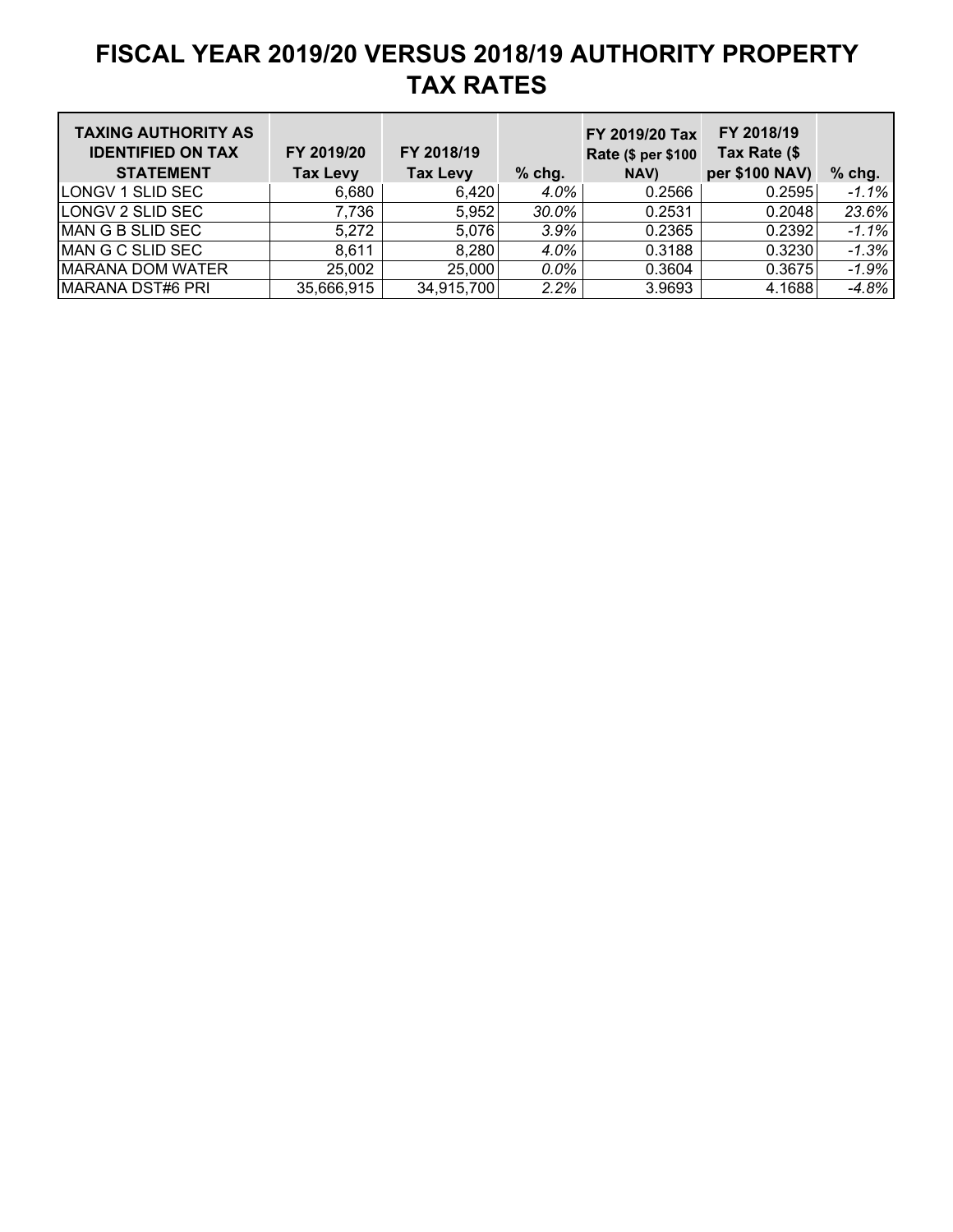| <b>TAXING AUTHORITY AS</b><br><b>IDENTIFIED ON TAX</b><br><b>STATEMENT</b> | FY 2019/20<br><b>Tax Levy</b> | FY 2018/19<br><b>Tax Levy</b> | $%$ chg. | FY 2019/20 Tax<br>Rate (\$ per \$100<br>NAV) | FY 2018/19<br>Tax Rate (\$<br>per \$100 NAV) | $%$ chg. |
|----------------------------------------------------------------------------|-------------------------------|-------------------------------|----------|----------------------------------------------|----------------------------------------------|----------|
| <b>LONGV 1 SLID SEC</b>                                                    | 6.680                         | 6.420                         | $4.0\%$  | 0.2566                                       | 0.2595                                       | $-1.1%$  |
| <b>LONGV 2 SLID SEC</b>                                                    | 7,736                         | 5,952                         | $30.0\%$ | 0.2531                                       | 0.2048                                       | 23.6%    |
| MAN G B SLID SEC                                                           | 5,272                         | 5,076                         | 3.9%     | 0.2365                                       | 0.2392                                       | $-1.1%$  |
| MAN G C SLID SEC                                                           | 8,611                         | 8,280                         | 4.0%     | 0.3188                                       | 0.3230                                       | $-1.3%$  |
| <b>MARANA DOM WATER</b>                                                    | 25,002                        | 25,000                        | $0.0\%$  | 0.3604                                       | 0.3675                                       | $-1.9%$  |
| MARANA DST#6 PRI                                                           | 35,666,915                    | 34,915,700                    | 2.2%     | 3.9693                                       | 4.1688                                       | $-4.8%$  |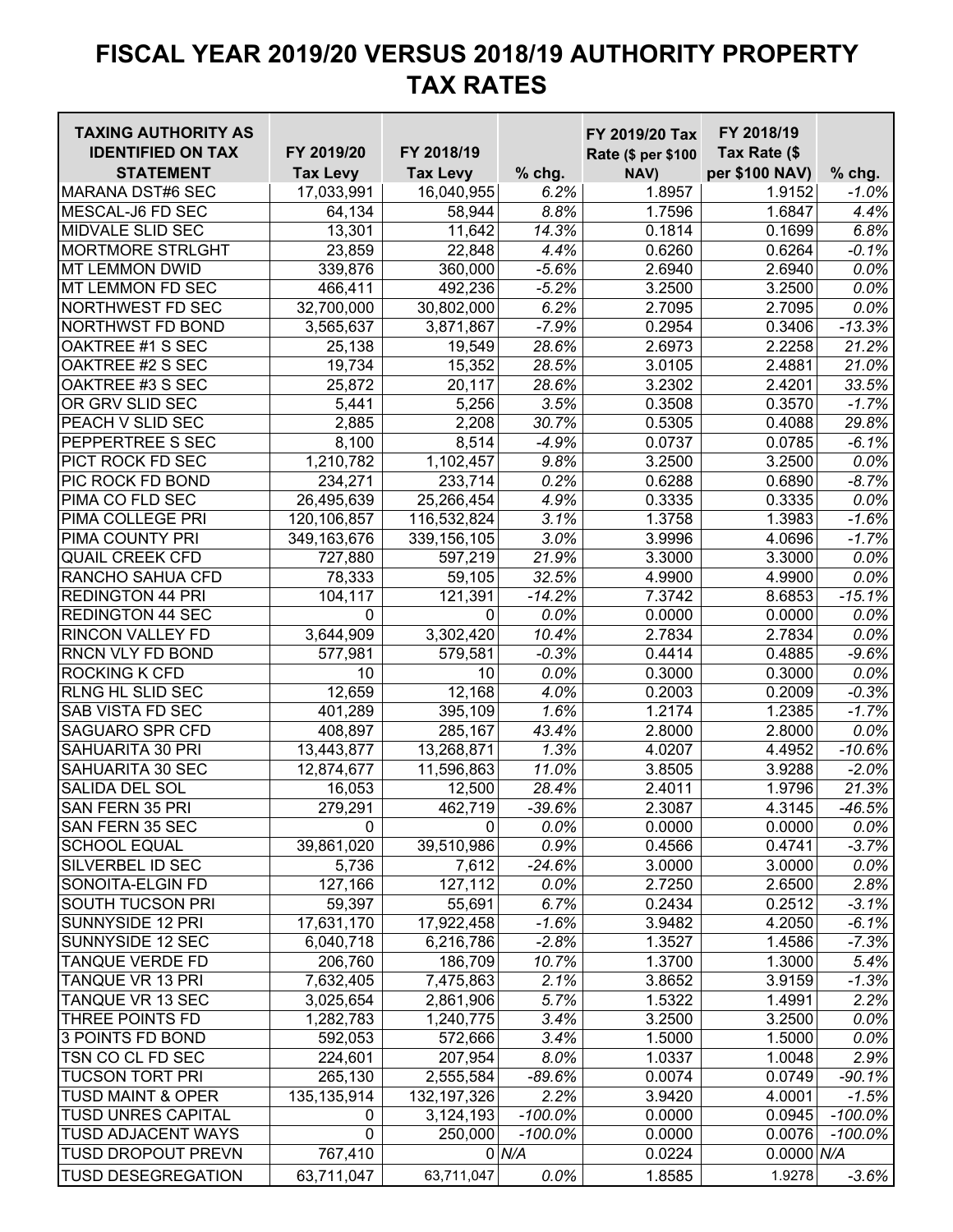| <b>TAXING AUTHORITY AS</b>   |                 |                 |            | FY 2019/20 Tax     | FY 2018/19          |            |
|------------------------------|-----------------|-----------------|------------|--------------------|---------------------|------------|
| <b>IDENTIFIED ON TAX</b>     | FY 2019/20      | FY 2018/19      |            | Rate (\$ per \$100 | Tax Rate (\$        |            |
| <b>STATEMENT</b>             | <b>Tax Levy</b> | <b>Tax Levy</b> | % chg.     | NAV)               | per \$100 NAV)      | $%$ chg.   |
| <b>MARANA DST#6 SEC</b>      | 17,033,991      | 16,040,955      | 6.2%       | 1.8957             | 1.9152              | $-1.0\%$   |
| <b>MESCAL-J6 FD SEC</b>      | 64,134          | 58,944          | 8.8%       | 1.7596             | 1.6847              | 4.4%       |
| MIDVALE SLID SEC             | 13,301          | 11,642          | 14.3%      | 0.1814             | 0.1699              | 6.8%       |
| <b>MORTMORE STRLGHT</b>      | 23,859          | 22,848          | 4.4%       | 0.6260             | 0.6264              | $-0.1%$    |
| <b>MT LEMMON DWID</b>        | 339,876         | 360,000         | $-5.6%$    | 2.6940             | 2.6940              | 0.0%       |
| MT LEMMON FD SEC             | 466,411         | 492,236         | $-5.2%$    | 3.2500             | 3.2500              | 0.0%       |
| NORTHWEST FD SEC             | 32,700,000      | 30,802,000      | 6.2%       | 2.7095             | 2.7095              | $0.0\%$    |
| NORTHWST FD BOND             | 3,565,637       | 3,871,867       | $-7.9%$    | 0.2954             | 0.3406              | $-13.3%$   |
| OAKTREE #1 S SEC             | 25,138          | 19,549          | 28.6%      | 2.6973             | 2.2258              | 21.2%      |
| OAKTREE #2 S SEC             | 19,734          | 15,352          | 28.5%      | 3.0105             | 2.4881              | 21.0%      |
| OAKTREE #3 S SEC             | 25,872          | 20,117          | 28.6%      | 3.2302             | 2.4201              | 33.5%      |
| OR GRV SLID SEC              | 5,441           | 5,256           | 3.5%       | 0.3508             | $\overline{0.3570}$ | $-1.7%$    |
| PEACH V SLID SEC             | 2,885           | 2,208           | 30.7%      | 0.5305             | 0.4088              | 29.8%      |
| PEPPERTREE S SEC             | 8,100           | 8,514           | $-4.9%$    | 0.0737             | 0.0785              | $-6.1%$    |
| PICT ROCK FD SEC             | 1,210,782       | 1,102,457       | 9.8%       | 3.2500             | 3.2500              | $0.0\%$    |
| PIC ROCK FD BOND             | 234,271         | 233,714         | 0.2%       | 0.6288             | 0.6890              | $-8.7%$    |
| PIMA CO FLD SEC              | 26,495,639      | 25,266,454      | 4.9%       | 0.3335             | 0.3335              | 0.0%       |
| PIMA COLLEGE PRI             | 120,106,857     | 116,532,824     | 3.1%       | 1.3758             | 1.3983              | $-1.6%$    |
| PIMA COUNTY PRI              | 349,163,676     | 339, 156, 105   | 3.0%       | 3.9996             | 4.0696              | $-1.7%$    |
| <b>QUAIL CREEK CFD</b>       | 727,880         | 597,219         | 21.9%      | 3.3000             | 3.3000              | 0.0%       |
| RANCHO SAHUA CFD             | 78,333          | 59,105          | 32.5%      | 4.9900             | 4.9900              | 0.0%       |
| <b>REDINGTON 44 PRI</b>      | 104,117         | 121,391         | $-14.2%$   | 7.3742             | 8.6853              | $-15.1%$   |
| <b>REDINGTON 44 SEC</b>      | $\mathbf 0$     | 0               | 0.0%       | 0.0000             | 0.0000              | 0.0%       |
| RINCON VALLEY FD             | 3,644,909       | 3,302,420       | 10.4%      | 2.7834             | 2.7834              | 0.0%       |
| RNCN VLY FD BOND             | 577,981         | 579,581         | $-0.3%$    | 0.4414             | 0.4885              | $-9.6%$    |
| ROCKING K CFD                | 10              | 10              | 0.0%       | 0.3000             | 0.3000              | $0.0\%$    |
| RLNG HL SLID SEC             | 12,659          | 12,168          | 4.0%       | 0.2003             | 0.2009              | $-0.3%$    |
| SAB VISTA FD SEC             | 401,289         | 395,109         | 1.6%       | 1.2174             | 1.2385              | $-1.7%$    |
| <b>SAGUARO SPR CFD</b>       | 408,897         | 285,167         | 43.4%      | 2.8000             | 2.8000              | 0.0%       |
| SAHUARITA 30 PRI             | 13,443,877      | 13,268,871      | 1.3%       | 4.0207             | 4.4952              | $-10.6%$   |
| SAHUARITA 30 SEC             | 12,874,677      | 11,596,863      | 11.0%      | 3.8505             | 3.9288              | $-2.0%$    |
| <b>SALIDA DEL SOL</b>        | 16,053          | 12,500          | 28.4%      | 2.4011             | 1.9796              | 21.3%      |
| SAN FERN 35 PRI              | 279,291         | 462,719         | 39.6%      | 2.3087             | 4.3145              | 46.5%      |
| SAN FERN 35 SEC              | $\mathbf{0}$    | 0               | 0.0%       | 0.0000             | 0.0000              | $0.0\%$    |
| <b>SCHOOL EQUAL</b>          | 39,861,020      | 39,510,986      | 0.9%       | 0.4566             | 0.4741              | $-3.7%$    |
| SILVERBEL ID SEC             | 5,736           | 7,612           | $-24.6%$   | 3.0000             | 3.0000              | $0.0\%$    |
| SONOITA-ELGIN FD             | 127,166         | 127,112         | 0.0%       | 2.7250             | 2.6500              | 2.8%       |
| SOUTH TUCSON PRI             | 59,397          | 55,691          | 6.7%       | 0.2434             | 0.2512              | $-3.1%$    |
| SUNNYSIDE 12 PRI             | 17,631,170      | 17,922,458      | $-1.6%$    | 3.9482             | 4.2050              | $-6.1%$    |
| SUNNYSIDE 12 SEC             | 6,040,718       | 6,216,786       | $-2.8%$    | 1.3527             | 1.4586              | $-7.3%$    |
| TANQUE VERDE FD              | 206,760         | 186,709         | 10.7%      | 1.3700             | 1.3000              | 5.4%       |
| TANQUE VR 13 PRI             | 7,632,405       | 7,475,863       | 2.1%       | 3.8652             | 3.9159              | $-1.3%$    |
| TANQUE VR 13 SEC             | 3,025,654       | 2,861,906       | 5.7%       | 1.5322             | 1.4991              | 2.2%       |
| THREE POINTS FD              | 1,282,783       | 1,240,775       | 3.4%       | 3.2500             | 3.2500              | 0.0%       |
| 3 POINTS FD BOND             | 592,053         | 572,666         | 3.4%       | 1.5000             | 1.5000              | 0.0%       |
| TSN CO CL FD SEC             | 224,601         | 207,954         | 8.0%       | 1.0337             | 1.0048              | 2.9%       |
| <b>TUCSON TORT PRI</b>       | 265,130         | 2,555,584       | $-89.6%$   | 0.0074             | 0.0749              | $-90.1%$   |
| <b>TUSD MAINT &amp; OPER</b> | 135, 135, 914   | 132, 197, 326   | 2.2%       | 3.9420             | 4.0001              | $-1.5%$    |
| <b>TUSD UNRES CAPITAL</b>    | 0               | 3,124,193       | $-100.0\%$ | 0.0000             | 0.0945              | $-100.0\%$ |
| <b>TUSD ADJACENT WAYS</b>    | $\mathbf 0$     | 250,000         | $-100.0\%$ | 0.0000             | 0.0076              | -100.0%    |
| <b>TUSD DROPOUT PREVN</b>    | 767,410         |                 | $0$ $N/A$  | 0.0224             | $0.0000$ $N/A$      |            |
| <b>TUSD DESEGREGATION</b>    | 63,711,047      | 63,711,047      | 0.0%       | 1.8585             | 1.9278              | $-3.6%$    |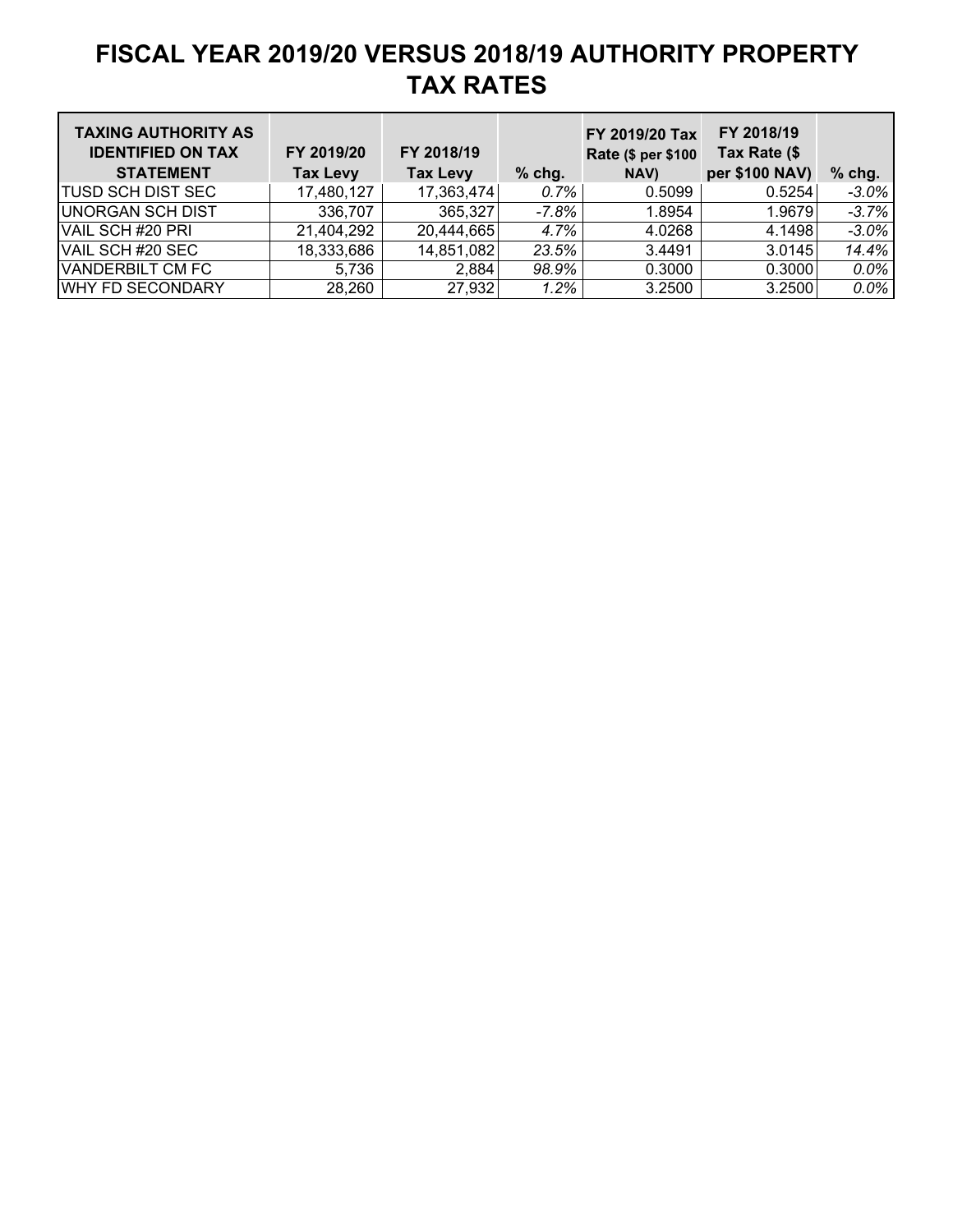| <b>TAXING AUTHORITY AS</b><br><b>IDENTIFIED ON TAX</b><br><b>STATEMENT</b> | FY 2019/20<br><b>Tax Levy</b> | FY 2018/19<br><b>Tax Levy</b> | $%$ chg. | FY 2019/20 Tax<br>Rate (\$ per \$100<br>NAV) | FY 2018/19<br>Tax Rate (\$<br>per \$100 NAV) | $%$ chg. |
|----------------------------------------------------------------------------|-------------------------------|-------------------------------|----------|----------------------------------------------|----------------------------------------------|----------|
| <b>TUSD SCH DIST SEC</b>                                                   | 17,480,127                    | 17,363,474                    | $0.7\%$  | 0.5099                                       | 0.5254                                       | $-3.0\%$ |
| <b>UNORGAN SCH DIST</b>                                                    | 336,707                       | 365,327                       | -7.8%    | 1.8954                                       | 1.9679                                       | $-3.7%$  |
| VAIL SCH #20 PRI                                                           | 21,404,292                    | 20,444,665                    | 4.7%     | 4.0268                                       | 4.1498                                       | $-3.0%$  |
| VAIL SCH #20 SEC                                                           | 18,333,686                    | 14,851,082                    | 23.5%    | 3.4491                                       | 3.0145                                       | 14.4%    |
| <b>VANDERBILT CM FC</b>                                                    | 5,736                         | 2,884                         | 98.9%    | 0.3000                                       | 0.3000                                       | $0.0\%$  |
| <b>WHY FD SECONDARY</b>                                                    | 28,260                        | 27,932                        | 1.2%     | 3.2500                                       | 3.2500                                       | $0.0\%$  |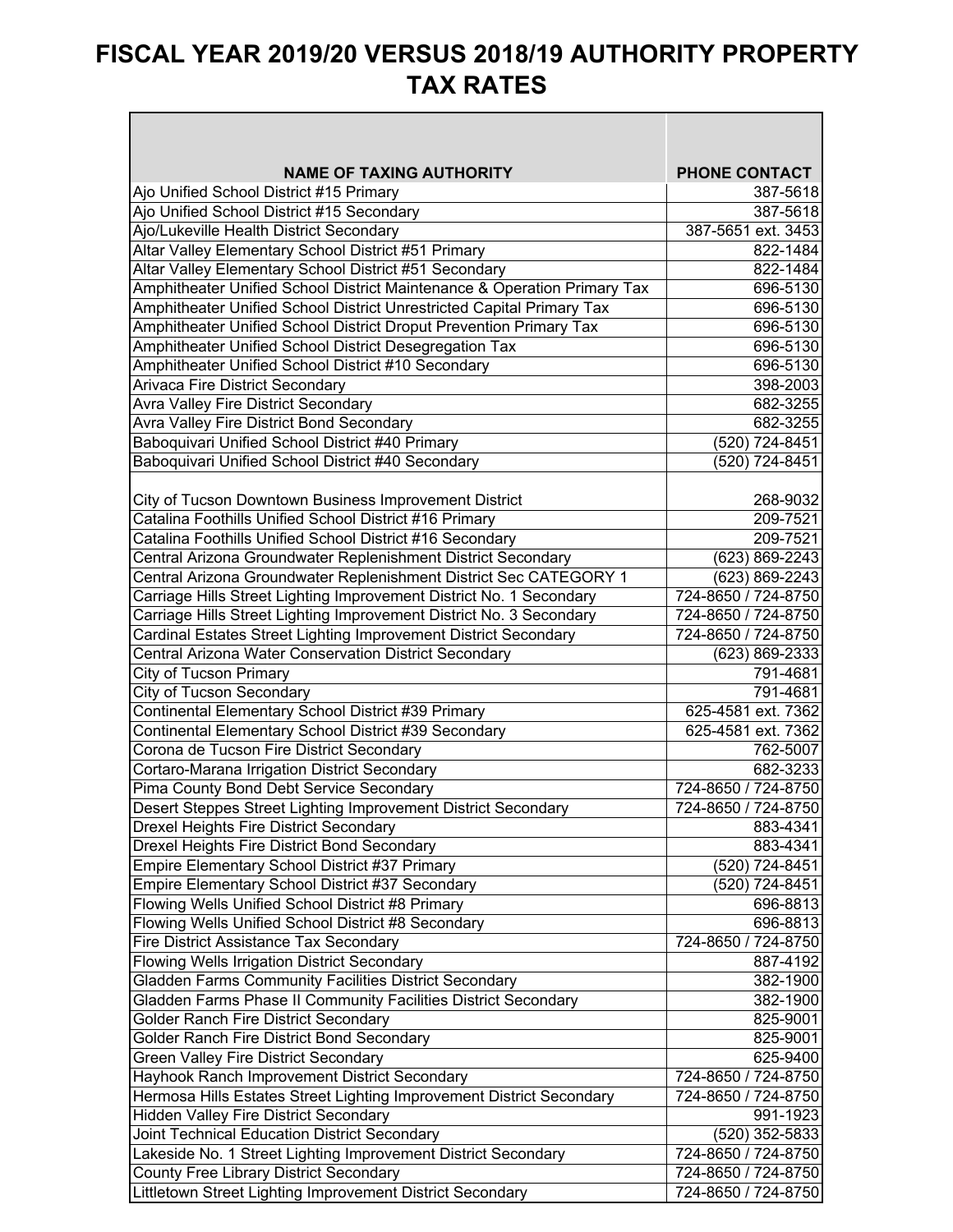┑

 $\blacksquare$ 

| <b>NAME OF TAXING AUTHORITY</b>                                          | <b>PHONE CONTACT</b> |
|--------------------------------------------------------------------------|----------------------|
| Ajo Unified School District #15 Primary                                  | 387-5618             |
| Ajo Unified School District #15 Secondary                                | 387-5618             |
| Ajo/Lukeville Health District Secondary                                  | 387-5651 ext. 3453   |
| Altar Valley Elementary School District #51 Primary                      | 822-1484             |
| Altar Valley Elementary School District #51 Secondary                    | 822-1484             |
| Amphitheater Unified School District Maintenance & Operation Primary Tax | 696-5130             |
| Amphitheater Unified School District Unrestricted Capital Primary Tax    | 696-5130             |
| Amphitheater Unified School District Droput Prevention Primary Tax       | 696-5130             |
| Amphitheater Unified School District Desegregation Tax                   | 696-5130             |
| Amphitheater Unified School District #10 Secondary                       | 696-5130             |
| Arivaca Fire District Secondary                                          | 398-2003             |
| Avra Valley Fire District Secondary                                      | 682-3255             |
| Avra Valley Fire District Bond Secondary                                 | 682-3255             |
| Baboquivari Unified School District #40 Primary                          | (520) 724-8451       |
| Baboquivari Unified School District #40 Secondary                        | (520) 724-8451       |
|                                                                          |                      |
| City of Tucson Downtown Business Improvement District                    | 268-9032             |
| Catalina Foothills Unified School District #16 Primary                   | 209-7521             |
| Catalina Foothills Unified School District #16 Secondary                 | 209-7521             |
| Central Arizona Groundwater Replenishment District Secondary             | (623) 869-2243       |
| Central Arizona Groundwater Replenishment District Sec CATEGORY 1        | (623) 869-2243       |
| Carriage Hills Street Lighting Improvement District No. 1 Secondary      | 724-8650 / 724-8750  |
| Carriage Hills Street Lighting Improvement District No. 3 Secondary      | 724-8650 / 724-8750  |
| Cardinal Estates Street Lighting Improvement District Secondary          | 724-8650 / 724-8750  |
| Central Arizona Water Conservation District Secondary                    | (623) 869-2333       |
| <b>City of Tucson Primary</b>                                            | 791-4681             |
| City of Tucson Secondary                                                 | 791-4681             |
| Continental Elementary School District #39 Primary                       | 625-4581 ext. 7362   |
| Continental Elementary School District #39 Secondary                     | 625-4581 ext. 7362   |
| Corona de Tucson Fire District Secondary                                 | 762-5007             |
| Cortaro-Marana Irrigation District Secondary                             | 682-3233             |
| Pima County Bond Debt Service Secondary                                  | 724-8650 / 724-8750  |
| Desert Steppes Street Lighting Improvement District Secondary            | 724-8650 / 724-8750  |
| <b>Drexel Heights Fire District Secondary</b>                            | 883-4341             |
| Drexel Heights Fire District Bond Secondary                              | 883-4341             |
| Empire Elementary School District #37 Primary                            | (520) 724-8451       |
| Empire Elementary School District #37 Secondary                          | (520) 724-8451       |
| Flowing Wells Unified School District #8 Primary                         | 696-8813             |
| Flowing Wells Unified School District #8 Secondary                       | 696-8813             |
| Fire District Assistance Tax Secondary                                   | 724-8650 / 724-8750  |
| Flowing Wells Irrigation District Secondary                              | 887-4192             |
| Gladden Farms Community Facilities District Secondary                    | 382-1900             |
| Gladden Farms Phase II Community Facilities District Secondary           | 382-1900             |
| Golder Ranch Fire District Secondary                                     | 825-9001             |
| Golder Ranch Fire District Bond Secondary                                | 825-9001             |
| Green Valley Fire District Secondary                                     | 625-9400             |
| Hayhook Ranch Improvement District Secondary                             | 724-8650 / 724-8750  |
| Hermosa Hills Estates Street Lighting Improvement District Secondary     | 724-8650 / 724-8750  |
| <b>Hidden Valley Fire District Secondary</b>                             | 991-1923             |
| Joint Technical Education District Secondary                             | (520) 352-5833       |
| Lakeside No. 1 Street Lighting Improvement District Secondary            | 724-8650 / 724-8750  |
| County Free Library District Secondary                                   | 724-8650 / 724-8750  |
| Littletown Street Lighting Improvement District Secondary                | 724-8650 / 724-8750  |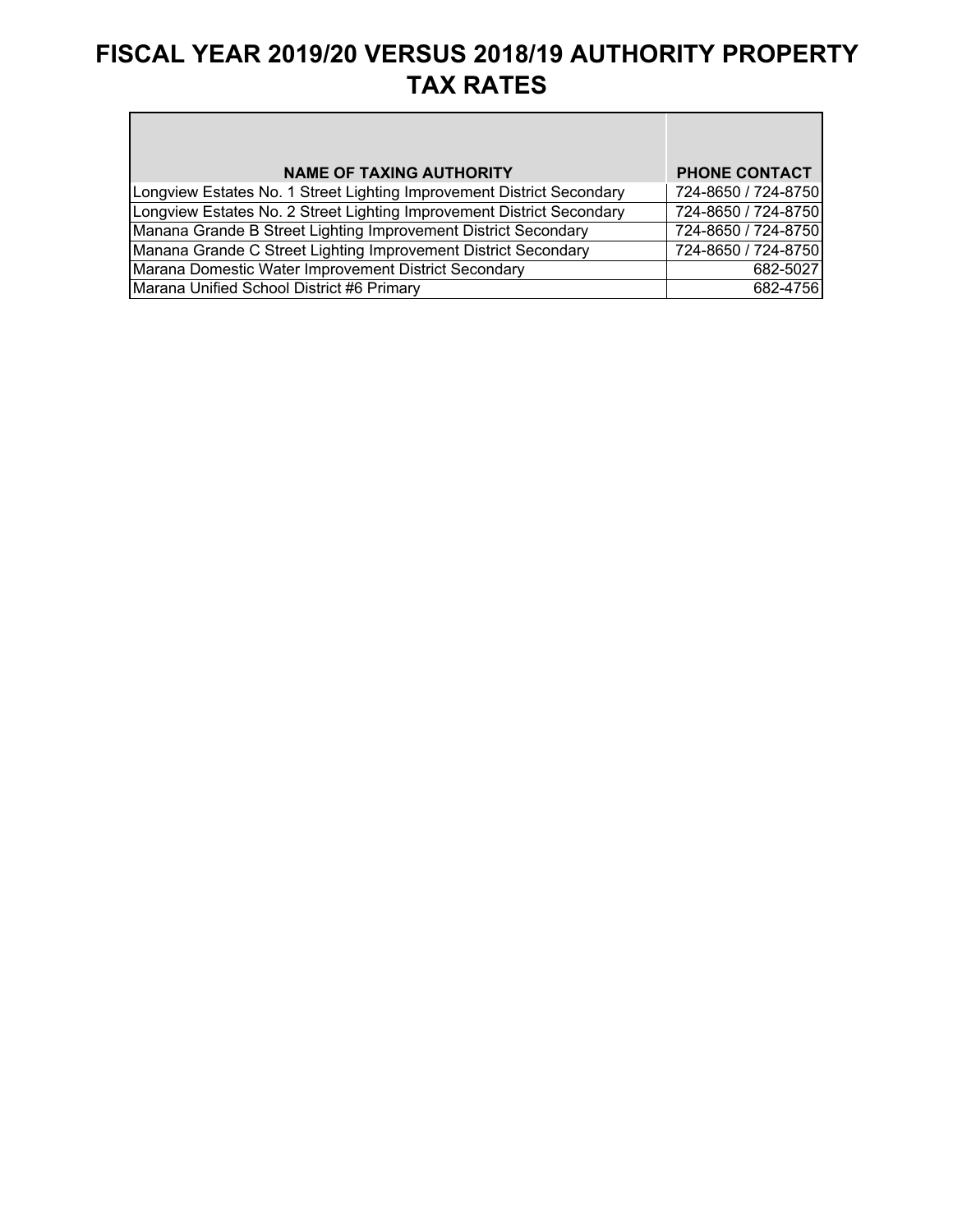| <b>NAME OF TAXING AUTHORITY</b>                                       | <b>PHONE CONTACT</b> |
|-----------------------------------------------------------------------|----------------------|
|                                                                       |                      |
| Longview Estates No. 1 Street Lighting Improvement District Secondary | 724-8650 / 724-8750  |
| Longview Estates No. 2 Street Lighting Improvement District Secondary | 724-8650 / 724-8750  |
| Manana Grande B Street Lighting Improvement District Secondary        | 724-8650 / 724-8750  |
| Manana Grande C Street Lighting Improvement District Secondary        | 724-8650 / 724-8750  |
| Marana Domestic Water Improvement District Secondary                  | 682-5027             |
| Marana Unified School District #6 Primary                             | 682-4756             |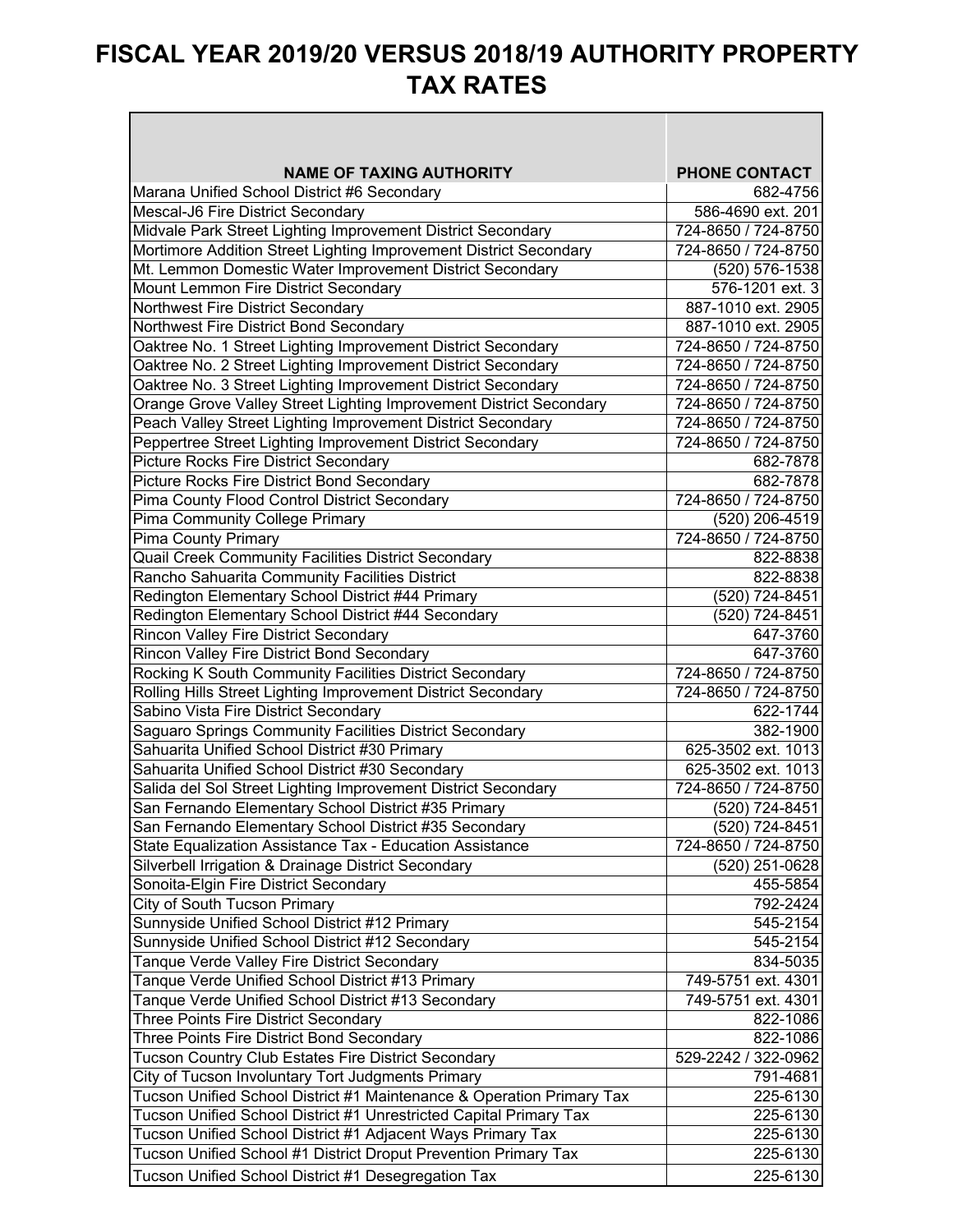| <b>NAME OF TAXING AUTHORITY</b>                                       | <b>PHONE CONTACT</b> |
|-----------------------------------------------------------------------|----------------------|
| Marana Unified School District #6 Secondary                           | 682-4756             |
| Mescal-J6 Fire District Secondary                                     | 586-4690 ext. 201    |
| Midvale Park Street Lighting Improvement District Secondary           | 724-8650 / 724-8750  |
| Mortimore Addition Street Lighting Improvement District Secondary     | 724-8650 / 724-8750  |
| Mt. Lemmon Domestic Water Improvement District Secondary              | (520) 576-1538       |
| Mount Lemmon Fire District Secondary                                  | 576-1201 ext. 3      |
| Northwest Fire District Secondary                                     | 887-1010 ext. 2905   |
| Northwest Fire District Bond Secondary                                | 887-1010 ext. 2905   |
| Oaktree No. 1 Street Lighting Improvement District Secondary          | 724-8650 / 724-8750  |
| Oaktree No. 2 Street Lighting Improvement District Secondary          | 724-8650 / 724-8750  |
| Oaktree No. 3 Street Lighting Improvement District Secondary          | 724-8650 / 724-8750  |
| Orange Grove Valley Street Lighting Improvement District Secondary    | 724-8650 / 724-8750  |
| Peach Valley Street Lighting Improvement District Secondary           | 724-8650 / 724-8750  |
| Peppertree Street Lighting Improvement District Secondary             | 724-8650 / 724-8750  |
| Picture Rocks Fire District Secondary                                 | 682-7878             |
| Picture Rocks Fire District Bond Secondary                            | 682-7878             |
| Pima County Flood Control District Secondary                          | 724-8650 / 724-8750  |
| Pima Community College Primary                                        | (520) 206-4519       |
| <b>Pima County Primary</b>                                            | 724-8650 / 724-8750  |
| Quail Creek Community Facilities District Secondary                   | 822-8838             |
| Rancho Sahuarita Community Facilities District                        | 822-8838             |
| Redington Elementary School District #44 Primary                      | (520) 724-8451       |
| Redington Elementary School District #44 Secondary                    | (520) 724-8451       |
| Rincon Valley Fire District Secondary                                 | 647-3760             |
| Rincon Valley Fire District Bond Secondary                            | 647-3760             |
| Rocking K South Community Facilities District Secondary               | 724-8650 / 724-8750  |
| Rolling Hills Street Lighting Improvement District Secondary          | 724-8650 / 724-8750  |
| Sabino Vista Fire District Secondary                                  | 622-1744             |
| Saguaro Springs Community Facilities District Secondary               | 382-1900             |
| Sahuarita Unified School District #30 Primary                         | 625-3502 ext. 1013   |
| Sahuarita Unified School District #30 Secondary                       | 625-3502 ext. 1013   |
| Salida del Sol Street Lighting Improvement District Secondary         | 724-8650 / 724-8750  |
| San Fernando Elementary School District #35 Primary                   | (520) 724-8451       |
| San Fernando Elementary School District #35 Secondary                 | (520) 724-8451       |
| State Equalization Assistance Tax - Education Assistance              | 724-8650 / 724-8750  |
| Silverbell Irrigation & Drainage District Secondary                   | (520) 251-0628       |
| Sonoita-Elgin Fire District Secondary                                 | 455-5854             |
| City of South Tucson Primary                                          | 792-2424             |
| Sunnyside Unified School District #12 Primary                         | 545-2154             |
| Sunnyside Unified School District #12 Secondary                       | 545-2154             |
| Tanque Verde Valley Fire District Secondary                           | 834-5035             |
| Tanque Verde Unified School District #13 Primary                      | 749-5751 ext. 4301   |
| Tanque Verde Unified School District #13 Secondary                    | 749-5751 ext. 4301   |
| Three Points Fire District Secondary                                  | 822-1086             |
| Three Points Fire District Bond Secondary                             | 822-1086             |
| Tucson Country Club Estates Fire District Secondary                   | 529-2242 / 322-0962  |
| City of Tucson Involuntary Tort Judgments Primary                     | 791-4681             |
| Tucson Unified School District #1 Maintenance & Operation Primary Tax | 225-6130             |
| Tucson Unified School District #1 Unrestricted Capital Primary Tax    | 225-6130             |
| Tucson Unified School District #1 Adjacent Ways Primary Tax           | 225-6130             |
| Tucson Unified School #1 District Droput Prevention Primary Tax       | 225-6130             |
|                                                                       |                      |
| Tucson Unified School District #1 Desegregation Tax                   | 225-6130             |